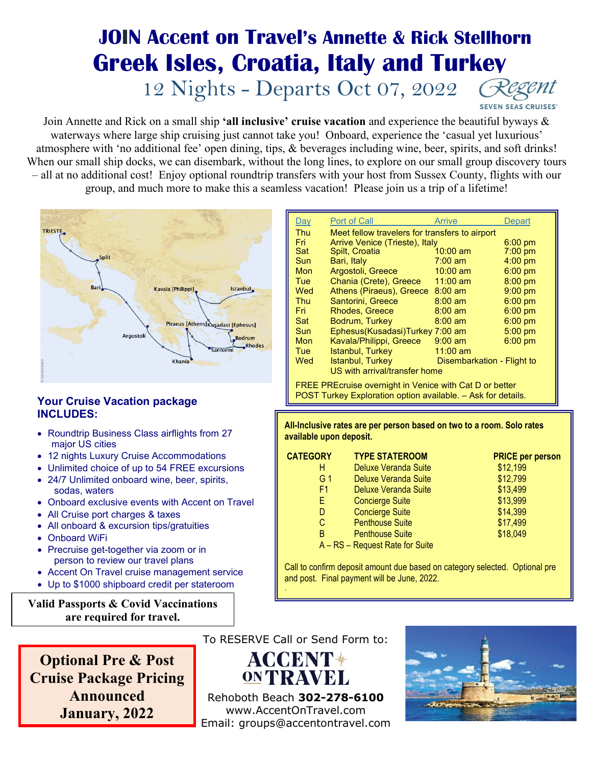# **JOIN Accent on Travel's Annette & Rick Stellhorn Greek Isles, Croatia, Italy and Turkey** 12 Nights - Departs Oct 07, 2022

**SEVEN SEAS CRUISES'** 

Join Annette and Rick on a small ship **'all inclusive' cruise vacation** and experience the beautiful byways & waterways where large ship cruising just cannot take you! Onboard, experience the 'casual yet luxurious' atmosphere with 'no additional fee' open dining, tips, & beverages including wine, beer, spirits, and soft drinks! When our small ship docks, we can disembark, without the long lines, to explore on our small group discovery tours – all at no additional cost! Enjoy optional roundtrip transfers with your host from Sussex County, flights with our group, and much more to make this a seamless vacation! Please join us a trip of a lifetime!



### **Your Cruise Vacation package INCLUDES:**

- Roundtrip Business Class airflights from 27 major US cities
- 12 nights Luxury Cruise Accommodations
- Unlimited choice of up to 54 FREE excursions
- 24/7 Unlimited onboard wine, beer, spirits, sodas, waters
- Onboard exclusive events with Accent on Travel
- All Cruise port charges & taxes
- All onboard & excursion tips/gratuities
- Onboard WiFi
- Precruise get-together via zoom or in person to review our travel plans
- Accent On Travel cruise management service
- Up to \$1000 shipboard credit per stateroom

**Valid Passports & Covid Vaccinations are required for travel.**

| <u>Day</u> | <b>Port of Call</b>                            | Arrive                     | Depart    |  |  |  |
|------------|------------------------------------------------|----------------------------|-----------|--|--|--|
| Thu        | Meet fellow travelers for transfers to airport |                            |           |  |  |  |
| Fri        | Arrive Venice (Trieste), Italy                 | $6:00$ pm                  |           |  |  |  |
| Sat        | Spilt, Croatia                                 | $10:00$ am                 | $7:00$ pm |  |  |  |
| Sun        | Bari, Italy                                    | $7:00 \text{ am}$          | $4:00$ pm |  |  |  |
| Mon        | Argostoli, Greece                              | $10:00$ am                 | $6:00$ pm |  |  |  |
| Tue        | Chania (Crete), Greece                         | 11:00 am                   | $8:00$ pm |  |  |  |
| Wed        | Athens (Piraeus), Greece                       | $8:00 \text{ am}$          | $9:00$ pm |  |  |  |
| Thu        | Santorini, Greece                              | $8:00 \text{ am}$          | $6:00$ pm |  |  |  |
| Fri        | <b>Rhodes, Greece</b>                          | $8:00 \text{ am}$          | $6:00$ pm |  |  |  |
| Sat        | Bodrum, Turkey                                 | $8:00 \text{ am}$          | $6:00$ pm |  |  |  |
| Sun        | Ephesus(Kusadasi)Turkey 7:00 am                |                            | $5:00$ pm |  |  |  |
| Mon        | Kavala/Philippi, Greece                        | $9:00$ am                  | $6:00$ pm |  |  |  |
| Tue        | Istanbul, Turkey                               | $11:00$ am                 |           |  |  |  |
| Wed        | Istanbul, Turkey                               | Disembarkation - Flight to |           |  |  |  |
|            | US with arrival/transfer home                  |                            |           |  |  |  |
|            |                                                |                            |           |  |  |  |

FREE PREcruise overnight in Venice with Cat D or better POST Turkey Exploration option available. – Ask for details.

**All-Inclusive rates are per person based on two to a room. Solo rates available upon deposit.** 

| <b>CATEGORY</b> | <b>TYPE STATEROOM</b>           | <b>PRICE per person</b> |
|-----------------|---------------------------------|-------------------------|
| н               | Deluxe Veranda Suite            | \$12,199                |
| G 1             | Deluxe Veranda Suite            | \$12,799                |
| F1              | Deluxe Veranda Suite            | \$13,499                |
| E.              | <b>Concierge Suite</b>          | \$13,999                |
| D               | <b>Concierge Suite</b>          | \$14,399                |
| C               | <b>Penthouse Suite</b>          | \$17,499                |
| B               | <b>Penthouse Suite</b>          | \$18,049                |
|                 | A - RS - Request Rate for Suite |                         |

Call to confirm deposit amount due based on category selected. Optional pre and post. Final payment will be June, 2022.

**Optional Pre & Post Cruise Package Pricing Announced January, 2022**

To RESERVE Call or Send Form to:

**ACCENTS** ON TRAVEL

Rehoboth Beach **302-278-6100** www.AccentOnTravel.com Email: groups@accentontravel.com

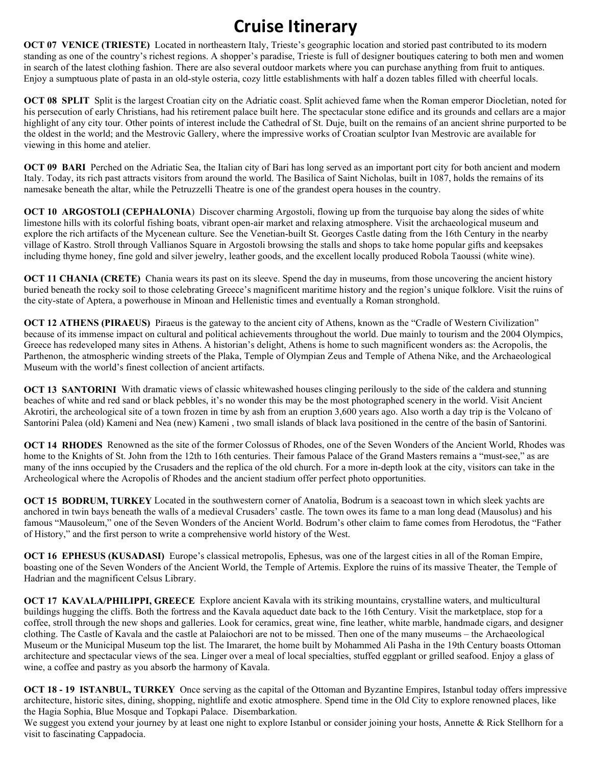## **Cruise Itinerary**

**OCT 07 VENICE (TRIESTE)** Located in northeastern Italy, Trieste's geographic location and storied past contributed to its modern standing as one of the country's richest regions. A shopper's paradise, Trieste is full of designer boutiques catering to both men and women in search of the latest clothing fashion. There are also several outdoor markets where you can purchase anything from fruit to antiques. Enjoy a sumptuous plate of pasta in an old-style osteria, cozy little establishments with half a dozen tables filled with cheerful locals.

**[OCT 08](https://www.rssc.com/cruises/EXP221007/activities/regent-choice-plus-free/day-1) SPLIT** Split is the largest Croatian city on the Adriatic coast. Split achieved fame when the Roman emperor Diocletian, noted for his persecution of early Christians, had his retirement palace built here. The spectacular stone edifice and its grounds and cellars are a major highlight of any city tour. Other points of interest include the Cathedral of St. Duje, built on the remains of an ancient shrine purported to be the oldest in the world; and the Mestrovic Gallery, where the impressive works of Croatian sculptor Ivan Mestrovic are available for viewing in this home and atelier.

**OCT 09 BARI** Perched on the Adriatic Sea, the Italian city of Bari has long served as an important port city for both ancient and modern Italy. Today, its rich past attracts visitors from around the world. The Basilica of Saint Nicholas, built in 1087, holds the remains of its namesake beneath the altar, while the Petruzzelli Theatre is one of the grandest opera houses in the country.

**OCT 10 ARGOSTOLI (CEPHALONIA)** Discover charming Argostoli, flowing up from the turquoise bay along the sides of white limestone hills with its colorful fishing boats, vibrant open-air market and relaxing atmosphere. Visit the archaeological museum and explore the rich artifacts of the Mycenean culture. See the Venetian-built St. Georges Castle dating from the 16th Century in the nearby village of Kastro. Stroll through Vallianos Square in Argostoli browsing the stalls and shops to take home popular gifts and keepsakes including thyme honey, fine gold and silver jewelry, leather goods, and the excellent locally produced Robola Taoussi (white wine).

**OCT 11 CHANIA (CRETE)** Chania wears its past on its sleeve. Spend the day in museums, from those uncovering the ancient history buried beneath the rocky soil to those celebrating Greece's magnificent maritime history and the region's unique folklore. Visit the ruins of the city-state of Aptera, a powerhouse in Minoan and Hellenistic times and eventually a Roman stronghold.

**OCT 12 ATHENS (PIRAEUS)** Piraeus is the gateway to the ancient city of Athens, known as the "Cradle of Western Civilization" because of its immense impact on cultural and political achievements throughout the world. Due mainly to tourism and the 2004 Olympics, Greece has redeveloped many sites in Athens. A historian's delight, Athens is home to such magnificent wonders as: the Acropolis, the Parthenon, the atmospheric winding streets of the Plaka, Temple of Olympian Zeus and Temple of Athena Nike, and the Archaeological Museum with the world's finest collection of ancient artifacts.

**OCT 13 SANTORINI** With dramatic views of classic whitewashed houses clinging perilously to the side of the caldera and stunning beaches of white and red sand or black pebbles, it's no wonder this may be the most photographed scenery in the world. Visit Ancient Akrotiri, the archeological site of a town frozen in time by ash from an eruption 3,600 years ago. Also worth a day trip is the Volcano of Santorini Palea (old) Kameni and Nea (new) Kameni , two small islands of black lava positioned in the centre of the basin of Santorini.

**OCT 14 RHODES** Renowned as the site of the former Colossus of Rhodes, one of the Seven Wonders of the Ancient World, Rhodes was home to the Knights of St. John from the 12th to 16th centuries. Their famous Palace of the Grand Masters remains a "must-see," as are many of the inns occupied by the Crusaders and the replica of the old church. For a more in-depth look at the city, visitors can take in the Archeological where the Acropolis of Rhodes and the ancient stadium offer perfect photo opportunities.

**OCT 15 BODRUM, TURKEY** Located in the southwestern corner of Anatolia, Bodrum is a seacoast town in which sleek yachts are anchored in twin bays beneath the walls of a medieval Crusaders' castle. The town owes its fame to a man long dead (Mausolus) and his famous "Mausoleum," one of the Seven Wonders of the Ancient World. Bodrum's other claim to fame comes from Herodotus, the "Father of History," and the first person to write a comprehensive world history of the West.

**OCT 16 EPHESUS (KUSADASI)** Europe's classical metropolis, Ephesus, was one of the largest cities in all of the Roman Empire, boasting one of the Seven Wonders of the Ancient World, the Temple of Artemis. Explore the ruins of its massive Theater, the Temple of Hadrian and the magnificent Celsus Library.

**OCT 17 KAVALA/PHILIPPI, GREECE** Explore ancient Kavala with its striking mountains, crystalline waters, and multicultural buildings hugging the cliffs. Both the fortress and the Kavala aqueduct date back to the 16th Century. Visit the marketplace, stop for a coffee, stroll through the new shops and galleries. Look for ceramics, great wine, fine leather, white marble, handmade cigars, and designer clothing. The Castle of Kavala and the castle at Palaiochori are not to be missed. Then one of the many museums – the Archaeological Museum or the Municipal Museum top the list. The Imararet, the home built by Mohammed Ali Pasha in the 19th Century boasts Ottoman architecture and spectacular views of the sea. Linger over a meal of local specialties, stuffed eggplant or grilled seafood. Enjoy a glass of wine, a coffee and pastry as you absorb the harmony of Kavala.

**OCT 18 - 19 ISTANBUL, TURKEY** Once serving as the capital of the Ottoman and Byzantine Empires, Istanbul today offers impressive architecture, historic sites, dining, shopping, nightlife and exotic atmosphere. Spend time in the Old City to explore renowned places, like the Hagia Sophia, Blue Mosque and Topkapi Palace. Disembarkation.

We suggest you extend your journey by at least one night to explore Istanbul or consider joining your hosts, Annette & Rick Stellhorn for a visit to fascinating Cappadocia.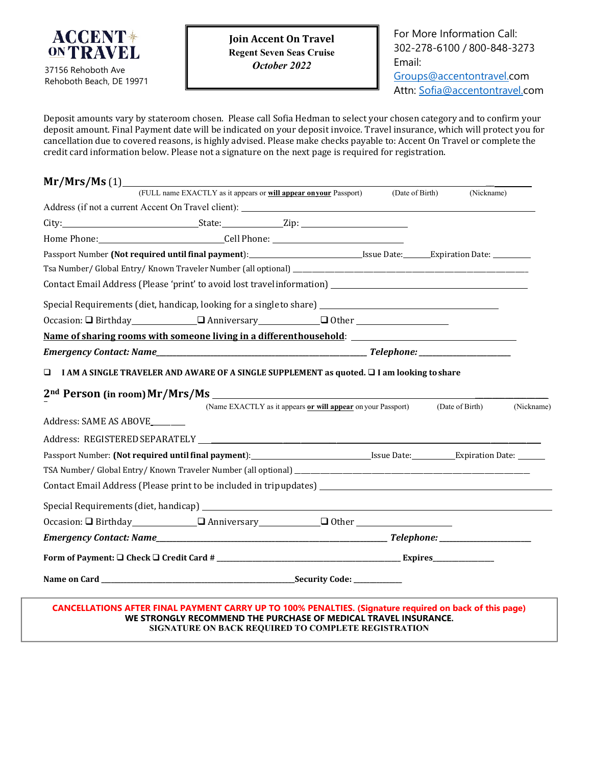

**Join Accent On Travel Regent Seven Seas Cruise** *October 2022*

For More Information Call: 302-278-6100 / 800-848-3273 Email: [Groups@accentontravel.c](mailto:Groups@accentontravel.)om

Attn: [Sofia@accentontravel.c](mailto:Sofia@accentontravel.)om

Deposit amounts vary by stateroom chosen. Please call Sofia Hedman to select your chosen category and to confirm your deposit amount. Final Payment date will be indicated on your deposit invoice. Travel insurance, which will protect you for cancellation due to covered reasons, is highly advised. Please make checks payable to: Accent On Travel or complete the credit card information below. Please not a signature on the next page is required for registration.

| $Mr/Mrs/Ms$ (1)                                                                                     |                                                                                                                                                                            |                 |                 |            |
|-----------------------------------------------------------------------------------------------------|----------------------------------------------------------------------------------------------------------------------------------------------------------------------------|-----------------|-----------------|------------|
|                                                                                                     | (FULL name EXACTLY as it appears or will appear on your Passport)                                                                                                          | (Date of Birth) |                 | (Nickname) |
|                                                                                                     |                                                                                                                                                                            |                 |                 |            |
|                                                                                                     |                                                                                                                                                                            |                 |                 |            |
|                                                                                                     |                                                                                                                                                                            |                 |                 |            |
| Passport Number (Not required until final payment): Issue Date: Expiration Date: __________________ |                                                                                                                                                                            |                 |                 |            |
|                                                                                                     |                                                                                                                                                                            |                 |                 |            |
|                                                                                                     |                                                                                                                                                                            |                 |                 |            |
|                                                                                                     | Special Requirements (diet, handicap, looking for a single to share) _______________________________                                                                       |                 |                 |            |
|                                                                                                     | Occasion: $\Box$ Birthday $\Box$ Anniversary $\Box$ Other $\Box$                                                                                                           |                 |                 |            |
|                                                                                                     | Name of sharing rooms with someone living in a different household:                                                                                                        |                 |                 |            |
|                                                                                                     |                                                                                                                                                                            |                 |                 |            |
| □                                                                                                   | I AM A SINGLE TRAVELER AND AWARE OF A SINGLE SUPPLEMENT as quoted. □ I am looking to share                                                                                 |                 |                 |            |
|                                                                                                     | (Name EXACTLY as it appears or will appear on your Passport)                                                                                                               |                 | (Date of Birth) | (Nickname) |
| Address: SAME AS ABOVE                                                                              |                                                                                                                                                                            |                 |                 |            |
|                                                                                                     |                                                                                                                                                                            |                 |                 |            |
|                                                                                                     | Passport Number: (Not required until final payment): Sue Date: Since Date: Expiration Date: Case Date:                                                                     |                 |                 |            |
|                                                                                                     |                                                                                                                                                                            |                 |                 |            |
|                                                                                                     |                                                                                                                                                                            |                 |                 |            |
|                                                                                                     | Special Requirements (diet, handicap) <b>Special Requirements (diet, handicap) Special Requirements (diet, handicap)</b>                                                   |                 |                 |            |
|                                                                                                     |                                                                                                                                                                            |                 |                 |            |
|                                                                                                     |                                                                                                                                                                            |                 |                 |            |
|                                                                                                     |                                                                                                                                                                            |                 |                 |            |
|                                                                                                     |                                                                                                                                                                            |                 |                 |            |
|                                                                                                     | CANCELLATIONS AFTER FINAL PAYMENT CARRY UP TO 100% PENALTIES. (Signature required on back of this page)<br>WE STRONGLY RECOMMEND THE PURCHASE OF MEDICAL TRAVEL INSURANCE. |                 |                 |            |

**SIGNATURE ON BACK REQUIRED TO COMPLETE REGISTRATION**